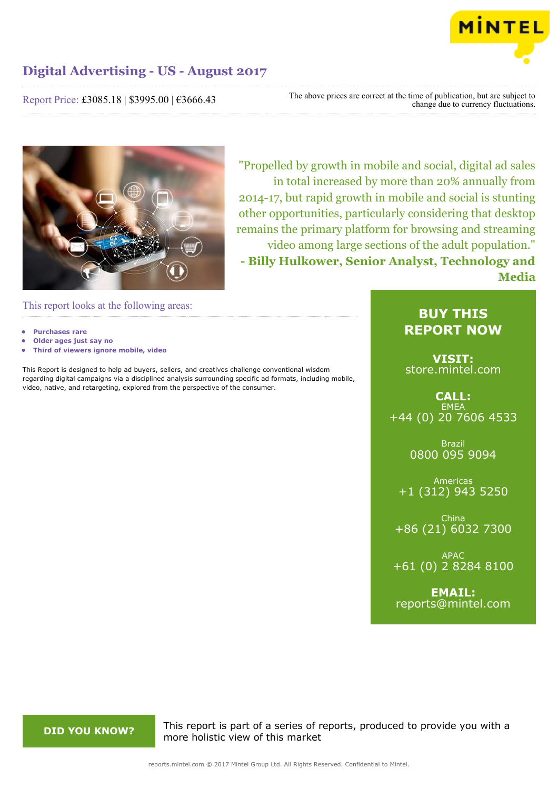

Report Price: £3085.18 | \$3995.00 | €3666.43

The above prices are correct at the time of publication, but are subject to change due to currency fluctuations.



"Propelled by growth in mobile and social, digital ad sales in total increased by more than 20% annually from 2014-17, but rapid growth in mobile and social is stunting other opportunities, particularly considering that desktop remains the primary platform for browsing and streaming video among large sections of the adult population." **- Billy Hulkower, Senior Analyst, Technology and Media**

This report looks at the following areas:

- **• Purchases rare**
- **• Older ages just say no**
- **• Third of viewers ignore mobile, video**

This Report is designed to help ad buyers, sellers, and creatives challenge conventional wisdom regarding digital campaigns via a disciplined analysis surrounding specific ad formats, including mobile, video, native, and retargeting, explored from the perspective of the consumer.

## **BUY THIS REPORT NOW**

**VISIT:** [store.mintel.com](http://reports.mintel.com//display/store/793049/)

**CALL: EMEA** +44 (0) 20 7606 4533

> Brazil 0800 095 9094

Americas +1 (312) 943 5250

China +86 (21) 6032 7300

APAC +61 (0) 2 8284 8100

**EMAIL:** [reports@mintel.com](mailto:reports@mintel.com)

**DID YOU KNOW?** This report is part of a series of reports, produced to provide you with a more holistic view of this market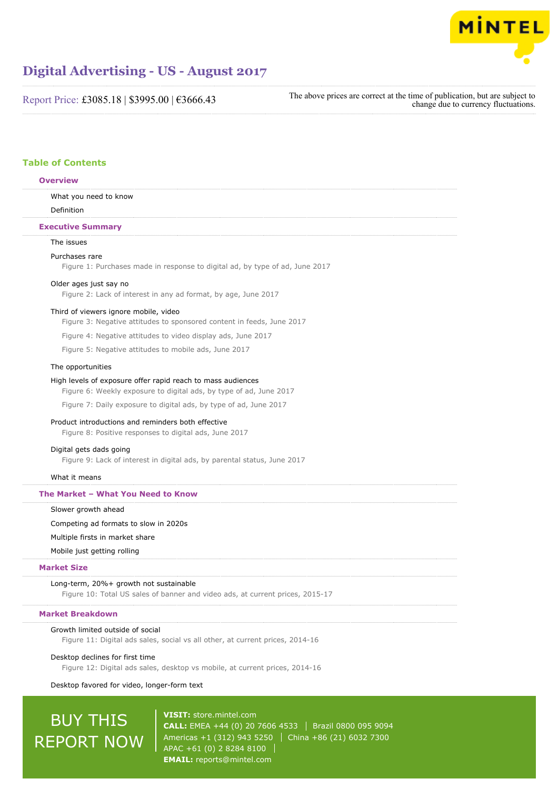

Report Price: £3085.18 | \$3995.00 | €3666.43

The above prices are correct at the time of publication, but are subject to change due to currency fluctuations.

## **Table of Contents**

## **Overview**

What you need to know

Definition

## **Executive Summary**

## The issues

#### Purchases rare

Figure 1: Purchases made in response to digital ad, by type of ad, June 2017

### Older ages just say no

Figure 2: Lack of interest in any ad format, by age, June 2017

## Third of viewers ignore mobile, video

Figure 3: Negative attitudes to sponsored content in feeds, June 2017

Figure 4: Negative attitudes to video display ads, June 2017

Figure 5: Negative attitudes to mobile ads, June 2017

### The opportunities

#### High levels of exposure offer rapid reach to mass audiences

Figure 6: Weekly exposure to digital ads, by type of ad, June 2017

Figure 7: Daily exposure to digital ads, by type of ad, June 2017

#### Product introductions and reminders both effective

Figure 8: Positive responses to digital ads, June 2017

## Digital gets dads going

Figure 9: Lack of interest in digital ads, by parental status, June 2017

#### What it means

#### **The Market – What You Need to Know**

Slower growth ahead

## Competing ad formats to slow in 2020s

Multiple firsts in market share

### Mobile just getting rolling

## **Market Size**

Long-term, 20%+ growth not sustainable Figure 10: Total US sales of banner and video ads, at current prices, 2015-17

## **Market Breakdown**

#### Growth limited outside of social

Figure 11: Digital ads sales, social vs all other, at current prices, 2014-16

Desktop declines for first time

Figure 12: Digital ads sales, desktop vs mobile, at current prices, 2014-16

Desktop favored for video, longer-form text

# BUY THIS REPORT NOW

**VISIT:** [store.mintel.com](http://reports.mintel.com//display/store/793049/) **CALL:** EMEA +44 (0) 20 7606 4533 | Brazil 0800 095 9094 Americas +1 (312) 943 5250 | China +86 (21) 6032 7300 APAC +61 (0) 2 8284 8100 **EMAIL:** [reports@mintel.com](mailto:reports@mintel.com)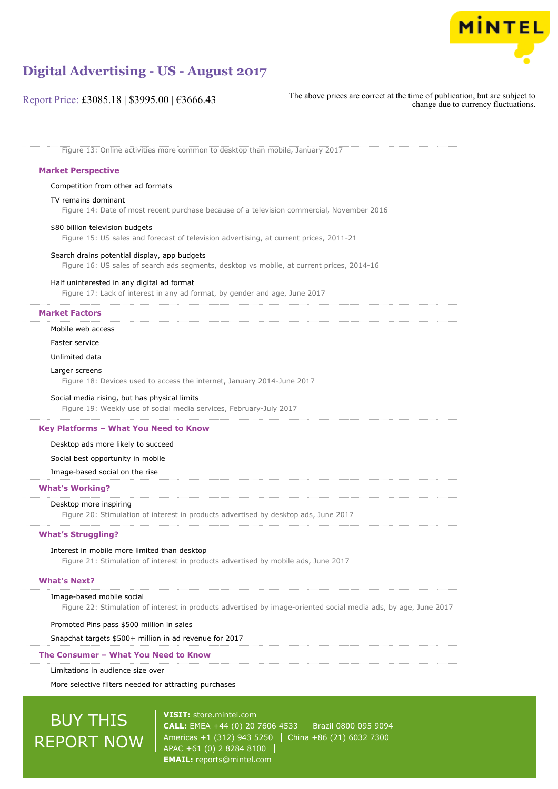

## Report Price: £3085.18 | \$3995.00 | €3666.43

The above prices are correct at the time of publication, but are subject to change due to currency fluctuations.

Figure 13: Online activities more common to desktop than mobile, January 2017

#### **Market Perspective**

#### Competition from other ad formats

TV remains dominant

Figure 14: Date of most recent purchase because of a television commercial, November 2016

#### \$80 billion television budgets

Figure 15: US sales and forecast of television advertising, at current prices, 2011-21

### Search drains potential display, app budgets

Figure 16: US sales of search ads segments, desktop vs mobile, at current prices, 2014-16

#### Half uninterested in any digital ad format

Figure 17: Lack of interest in any ad format, by gender and age, June 2017

## **Market Factors**

Mobile web access

Faster service

Unlimited data

#### Larger screens

Figure 18: Devices used to access the internet, January 2014-June 2017

#### Social media rising, but has physical limits

Figure 19: Weekly use of social media services, February-July 2017

## **Key Platforms – What You Need to Know**

Desktop ads more likely to succeed

## Social best opportunity in mobile

Image-based social on the rise

#### **What's Working?**

#### Desktop more inspiring

Figure 20: Stimulation of interest in products advertised by desktop ads, June 2017

### **What's Struggling?**

#### Interest in mobile more limited than desktop

Figure 21: Stimulation of interest in products advertised by mobile ads, June 2017

## **What's Next?**

#### Image-based mobile social

Figure 22: Stimulation of interest in products advertised by image-oriented social media ads, by age, June 2017

#### Promoted Pins pass \$500 million in sales

Snapchat targets \$500+ million in ad revenue for 2017

#### **The Consumer – What You Need to Know**

Limitations in audience size over

More selective filters needed for attracting purchases

# BUY THIS REPORT NOW

**VISIT:** [store.mintel.com](http://reports.mintel.com//display/store/793049/) **CALL:** EMEA +44 (0) 20 7606 4533 | Brazil 0800 095 9094 Americas +1 (312) 943 5250 | China +86 (21) 6032 7300 APAC +61 (0) 2 8284 8100 **EMAIL:** [reports@mintel.com](mailto:reports@mintel.com)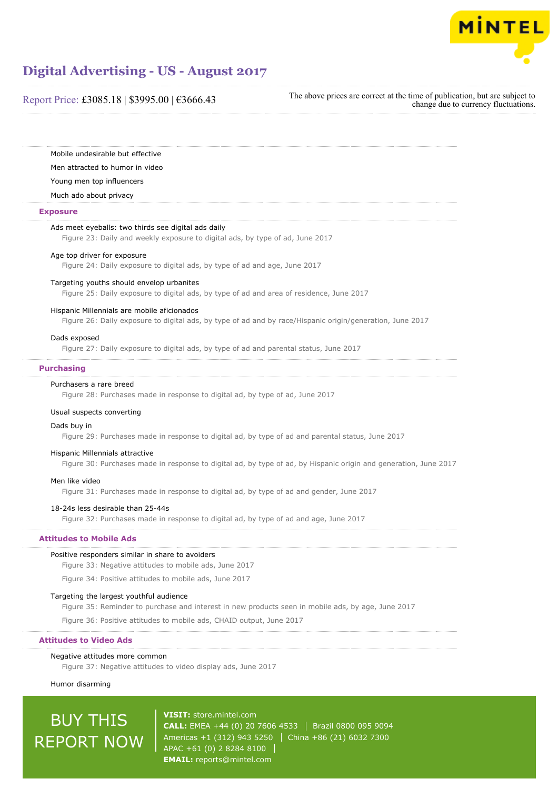

## Report Price: £3085.18 | \$3995.00 | €3666.43

The above prices are correct at the time of publication, but are subject to change due to currency fluctuations.

Mobile undesirable but effective

Men attracted to humor in video

Young men top influencers

Much ado about privacy

#### **Exposure**

#### Ads meet eyeballs: two thirds see digital ads daily

Figure 23: Daily and weekly exposure to digital ads, by type of ad, June 2017

## Age top driver for exposure

Figure 24: Daily exposure to digital ads, by type of ad and age, June 2017

## Targeting youths should envelop urbanites

Figure 25: Daily exposure to digital ads, by type of ad and area of residence, June 2017

#### Hispanic Millennials are mobile aficionados

Figure 26: Daily exposure to digital ads, by type of ad and by race/Hispanic origin/generation, June 2017

#### Dads exposed

Figure 27: Daily exposure to digital ads, by type of ad and parental status, June 2017

#### **Purchasing**

## Purchasers a rare breed

Figure 28: Purchases made in response to digital ad, by type of ad, June 2017

#### Usual suspects converting

#### Dads buy in

Figure 29: Purchases made in response to digital ad, by type of ad and parental status, June 2017

#### Hispanic Millennials attractive

Figure 30: Purchases made in response to digital ad, by type of ad, by Hispanic origin and generation, June 2017

#### Men like video

Figure 31: Purchases made in response to digital ad, by type of ad and gender, June 2017

#### 18-24s less desirable than 25-44s

Figure 32: Purchases made in response to digital ad, by type of ad and age, June 2017

## **Attitudes to Mobile Ads**

#### Positive responders similar in share to avoiders

Figure 33: Negative attitudes to mobile ads, June 2017

Figure 34: Positive attitudes to mobile ads, June 2017

#### Targeting the largest youthful audience

Figure 35: Reminder to purchase and interest in new products seen in mobile ads, by age, June 2017

Figure 36: Positive attitudes to mobile ads, CHAID output, June 2017

**Attitudes to Video Ads**

## Negative attitudes more common

Figure 37: Negative attitudes to video display ads, June 2017

## Humor disarming

# BUY THIS REPORT NOW

**VISIT:** [store.mintel.com](http://reports.mintel.com//display/store/793049/) **CALL:** EMEA +44 (0) 20 7606 4533 | Brazil 0800 095 9094 Americas +1 (312) 943 5250 | China +86 (21) 6032 7300 APAC +61 (0) 2 8284 8100 **EMAIL:** [reports@mintel.com](mailto:reports@mintel.com)